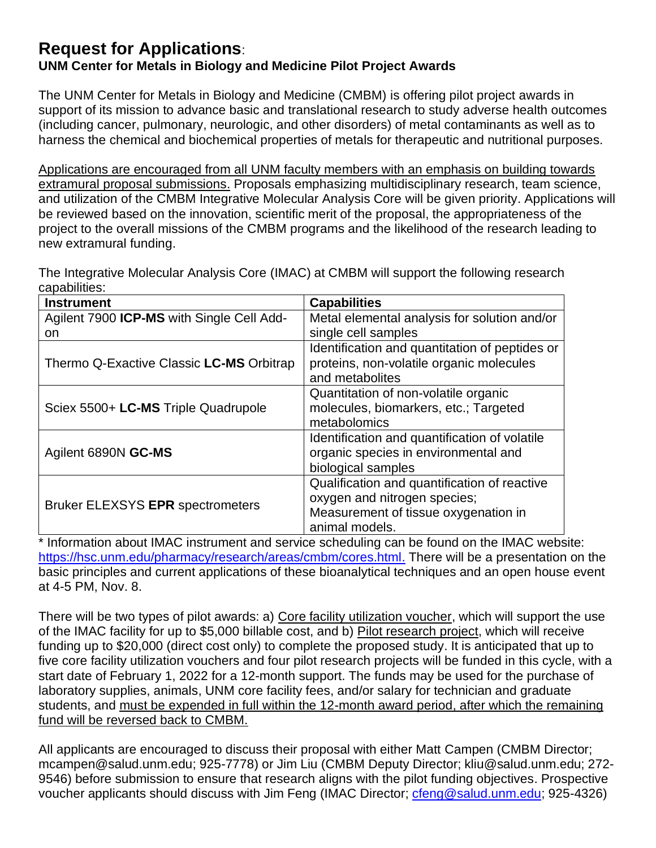## **Request for Applications**:

## **UNM Center for Metals in Biology and Medicine Pilot Project Awards**

The UNM Center for Metals in Biology and Medicine (CMBM) is offering pilot project awards in support of its mission to advance basic and translational research to study adverse health outcomes (including cancer, pulmonary, neurologic, and other disorders) of metal contaminants as well as to harness the chemical and biochemical properties of metals for therapeutic and nutritional purposes.

Applications are encouraged from all UNM faculty members with an emphasis on building towards extramural proposal submissions. Proposals emphasizing multidisciplinary research, team science, and utilization of the CMBM Integrative Molecular Analysis Core will be given priority. Applications will be reviewed based on the innovation, scientific merit of the proposal, the appropriateness of the project to the overall missions of the CMBM programs and the likelihood of the research leading to new extramural funding.

The Integrative Molecular Analysis Core (IMAC) at CMBM will support the following research capabilities:

| <b>Instrument</b>                                | <b>Capabilities</b>                            |
|--------------------------------------------------|------------------------------------------------|
| Agilent 7900 <b>ICP-MS</b> with Single Cell Add- | Metal elemental analysis for solution and/or   |
| on.                                              | single cell samples                            |
|                                                  | Identification and quantitation of peptides or |
| Thermo Q-Exactive Classic LC-MS Orbitrap         | proteins, non-volatile organic molecules       |
|                                                  | and metabolites                                |
| Sciex 5500+ LC-MS Triple Quadrupole              | Quantitation of non-volatile organic           |
|                                                  | molecules, biomarkers, etc.; Targeted          |
|                                                  | metabolomics                                   |
| Agilent 6890N GC-MS                              | Identification and quantification of volatile  |
|                                                  | organic species in environmental and           |
|                                                  | biological samples                             |
| <b>Bruker ELEXSYS EPR spectrometers</b>          | Qualification and quantification of reactive   |
|                                                  | oxygen and nitrogen species;                   |
|                                                  | Measurement of tissue oxygenation in           |
|                                                  | animal models.                                 |

Information about IMAC instrument and service scheduling can be found on the IMAC website: [https://hsc.unm.edu/pharmacy/research/areas/cmbm/cores.html.](https://hsc.unm.edu/pharmacy/research/areas/cmbm/cores.html) There will be a presentation on the basic principles and current applications of these bioanalytical techniques and an open house event at 4-5 PM, Nov. 8.

There will be two types of pilot awards: a) Core facility utilization voucher, which will support the use of the IMAC facility for up to \$5,000 billable cost, and b) Pilot research project, which will receive funding up to \$20,000 (direct cost only) to complete the proposed study. It is anticipated that up to five core facility utilization vouchers and four pilot research projects will be funded in this cycle, with a start date of February 1, 2022 for a 12-month support. The funds may be used for the purchase of laboratory supplies, animals, UNM core facility fees, and/or salary for technician and graduate students, and must be expended in full within the 12-month award period, after which the remaining fund will be reversed back to CMBM.

All applicants are encouraged to discuss their proposal with either Matt Campen (CMBM Director; [mcampen@salud.unm.edu;](mailto:mcampen@salud.unm.edu) 925-7778) or Jim Liu (CMBM Deputy Director; [kliu@salud.unm.edu;](mailto:kliu@salud.unm.edu) 272- 9546) before submission to ensure that research aligns with the pilot funding objectives. Prospective voucher applicants should discuss with Jim Feng (IMAC Director; [cfeng@salud.unm.edu;](mailto:cfeng@salud.unm.edu) 925-4326)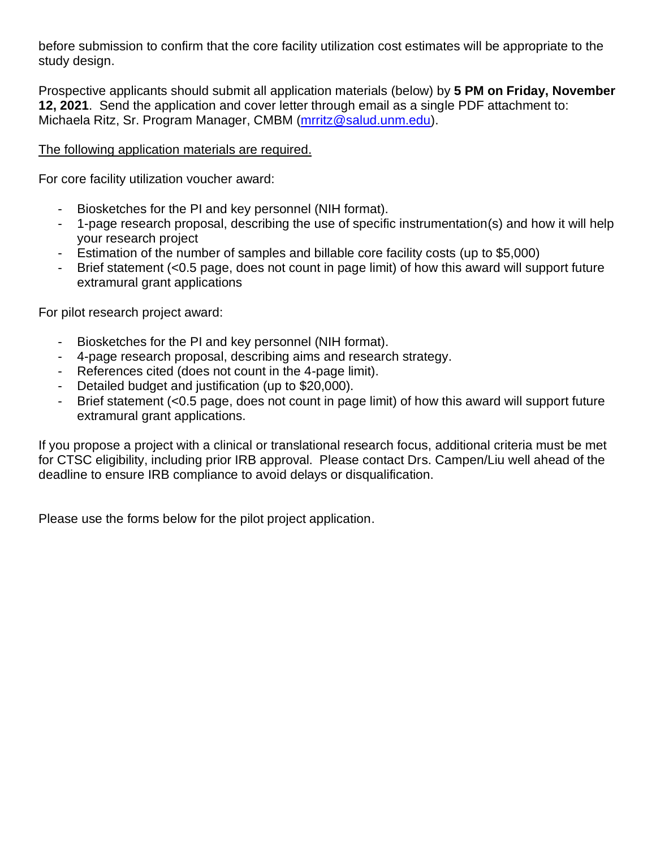before submission to confirm that the core facility utilization cost estimates will be appropriate to the study design.

Prospective applicants should submit all application materials (below) by **5 PM on Friday, November 12, 2021**. Send the application and cover letter through email as a single PDF attachment to: Michaela Ritz, Sr. Program Manager, CMBM [\(mrritz@salud.unm.edu\)](mailto:mrritz@salud.unm.edu).

### The following application materials are required.

For core facility utilization voucher award:

- Biosketches for the PI and key personnel (NIH format).
- 1-page research proposal, describing the use of specific instrumentation(s) and how it will help your research project
- Estimation of the number of samples and billable core facility costs (up to \$5,000)
- Brief statement  $\left($ <0.5 page, does not count in page limit) of how this award will support future extramural grant applications

For pilot research project award:

- Biosketches for the PI and key personnel (NIH format).
- 4-page research proposal, describing aims and research strategy.
- References cited (does not count in the 4-page limit).
- Detailed budget and justification (up to \$20,000).
- Brief statement (<0.5 page, does not count in page limit) of how this award will support future extramural grant applications.

If you propose a project with a clinical or translational research focus, additional criteria must be met for CTSC eligibility, including prior IRB approval. Please contact Drs. Campen/Liu well ahead of the deadline to ensure IRB compliance to avoid delays or disqualification.

Please use the forms below for the pilot project application.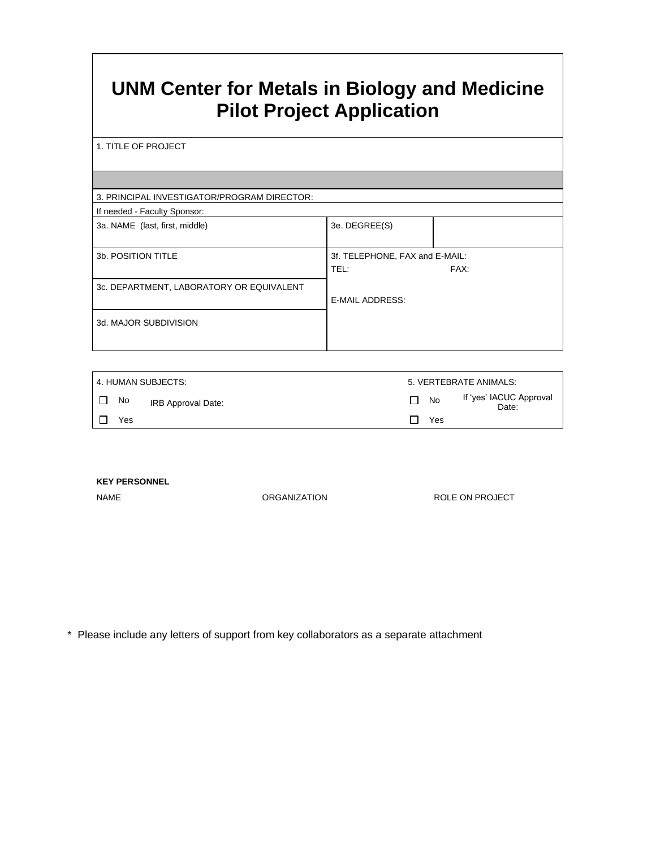# **UNM Center for Metals in Biology and Medicine Pilot Project Application**

1. TITLE OF PROJECT

#### 3. PRINCIPAL INVESTIGATOR/PROGRAM DIRECTOR:

| If needed - Faculty Sponsor:             |                                |      |
|------------------------------------------|--------------------------------|------|
| 3a. NAME (last, first, middle)           | 3e. DEGREE(S)                  |      |
|                                          |                                |      |
| 3b. POSITION TITLE                       | 3f. TELEPHONE, FAX and E-MAIL: |      |
|                                          | TEL:                           | FAX: |
| 3c. DEPARTMENT, LABORATORY OR EQUIVALENT |                                |      |
|                                          | E-MAIL ADDRESS:                |      |
| 3d. MAJOR SUBDIVISION                    |                                |      |
|                                          |                                |      |

| l 4. HUMAN SUBJECTS:     |                 | 5. VERTEBRATE ANIMALS:           |
|--------------------------|-----------------|----------------------------------|
| No<br>IRB Approval Date: | <b>No</b><br>ΙI | If 'yes' IACUC Approval<br>Date: |
| Yes                      | Yes             |                                  |

**KEY PERSONNEL**

NAME ORGANIZATION CONSTRUCTED ORGANIZATION ROLE ON PROJECT

\* Please include any letters of support from key collaborators as a separate attachment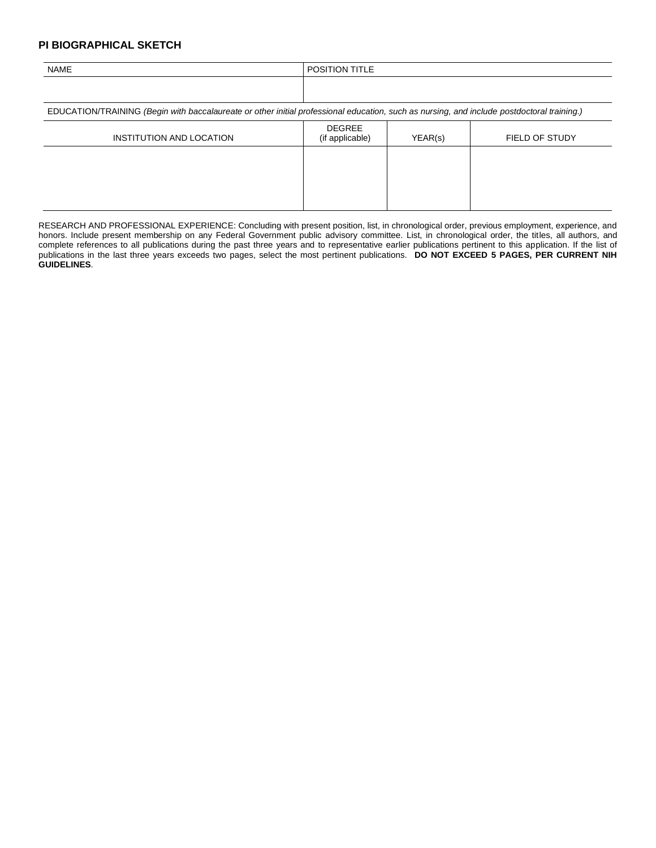#### **PI BIOGRAPHICAL SKETCH**

| <b>NAME</b>                                                                                                                                | <b>POSITION TITLE</b>            |         |                       |  |
|--------------------------------------------------------------------------------------------------------------------------------------------|----------------------------------|---------|-----------------------|--|
|                                                                                                                                            |                                  |         |                       |  |
| EDUCATION/TRAINING (Begin with baccalaureate or other initial professional education, such as nursing, and include postdoctoral training.) |                                  |         |                       |  |
| INSTITUTION AND LOCATION                                                                                                                   | <b>DEGREE</b><br>(if applicable) | YEAR(s) | <b>FIELD OF STUDY</b> |  |
|                                                                                                                                            |                                  |         |                       |  |
|                                                                                                                                            |                                  |         |                       |  |
|                                                                                                                                            |                                  |         |                       |  |

RESEARCH AND PROFESSIONAL EXPERIENCE: Concluding with present position, list, in chronological order, previous employment, experience, and honors. Include present membership on any Federal Government public advisory committee. List, in chronological order, the titles, all authors, and complete references to all publications during the past three years and to representative earlier publications pertinent to this application. If the list of publications in the last three years exceeds two pages, select the most pertinent publications. **DO NOT EXCEED 5 PAGES, PER CURRENT NIH GUIDELINES**.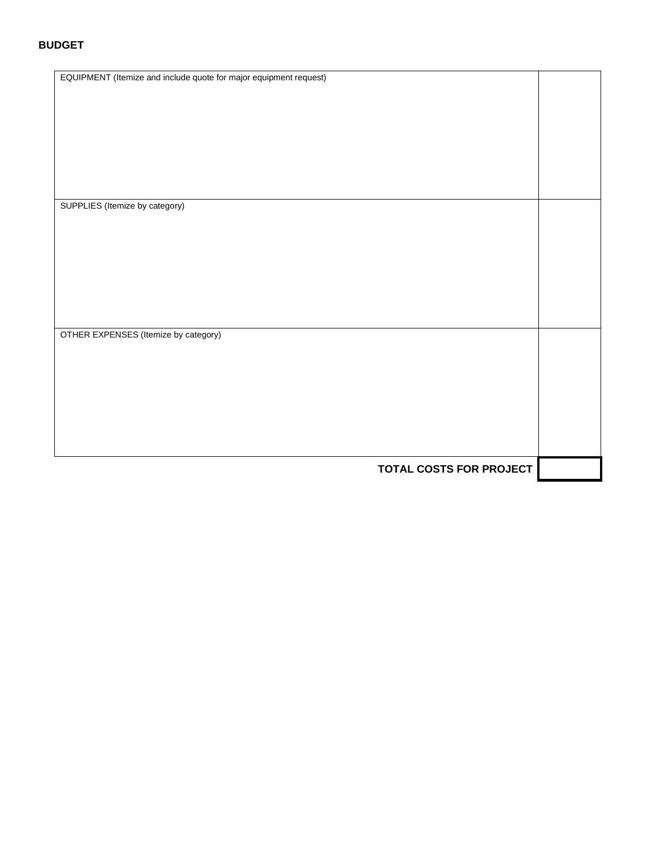#### **BUDGET**

| EQUIPMENT (Itemize and include quote for major equipment request) |  |
|-------------------------------------------------------------------|--|
|                                                                   |  |
|                                                                   |  |
|                                                                   |  |
|                                                                   |  |
|                                                                   |  |
|                                                                   |  |
|                                                                   |  |
|                                                                   |  |
|                                                                   |  |
|                                                                   |  |
|                                                                   |  |
|                                                                   |  |
|                                                                   |  |
|                                                                   |  |
|                                                                   |  |
| SUPPLIES (Itemize by category)                                    |  |
|                                                                   |  |
|                                                                   |  |
|                                                                   |  |
|                                                                   |  |
|                                                                   |  |
|                                                                   |  |
|                                                                   |  |
|                                                                   |  |
|                                                                   |  |
|                                                                   |  |
|                                                                   |  |
|                                                                   |  |
|                                                                   |  |
|                                                                   |  |
|                                                                   |  |
|                                                                   |  |
| OTHER EXPENSES (Itemize by category)                              |  |
|                                                                   |  |
|                                                                   |  |
|                                                                   |  |
|                                                                   |  |
|                                                                   |  |
|                                                                   |  |
|                                                                   |  |
|                                                                   |  |
|                                                                   |  |
|                                                                   |  |
|                                                                   |  |
|                                                                   |  |
|                                                                   |  |
|                                                                   |  |
|                                                                   |  |
|                                                                   |  |
| <b>TOTAL COSTS FOR PROJECT</b>                                    |  |
|                                                                   |  |